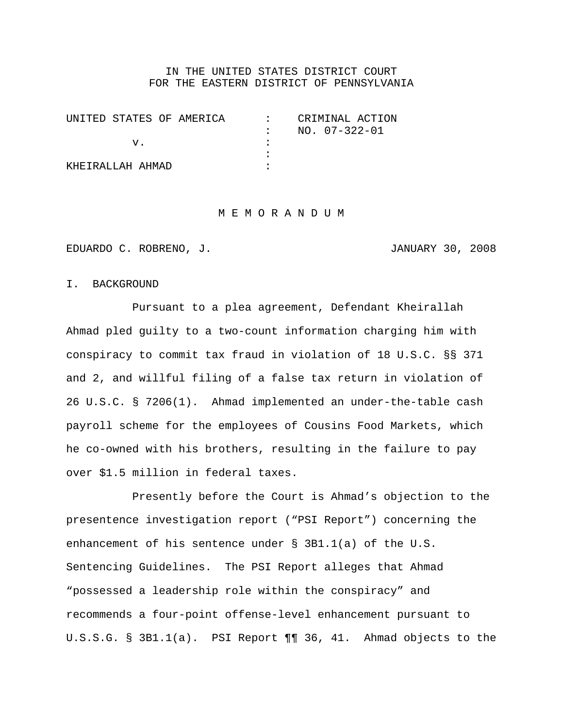### IN THE UNITED STATES DISTRICT COURT FOR THE EASTERN DISTRICT OF PENNSYLVANIA

| UNITED STATES OF AMERICA | CRIMINAL ACTION |
|--------------------------|-----------------|
|                          | NO. 07-322-01   |
|                          |                 |
|                          |                 |
| KHFTRALLAH AHMAD         |                 |

#### M E M O R A N D U M

EDUARDO C. ROBRENO, J. JANUARY 30, 2008

#### I. BACKGROUND

Pursuant to a plea agreement, Defendant Kheirallah Ahmad pled guilty to a two-count information charging him with conspiracy to commit tax fraud in violation of 18 U.S.C. §§ 371 and 2, and willful filing of a false tax return in violation of 26 U.S.C. § 7206(1). Ahmad implemented an under-the-table cash payroll scheme for the employees of Cousins Food Markets, which he co-owned with his brothers, resulting in the failure to pay over \$1.5 million in federal taxes.

Presently before the Court is Ahmad's objection to the presentence investigation report ("PSI Report") concerning the enhancement of his sentence under § 3B1.1(a) of the U.S. Sentencing Guidelines. The PSI Report alleges that Ahmad "possessed a leadership role within the conspiracy" and recommends a four-point offense-level enhancement pursuant to U.S.S.G. § 3B1.1(a). PSI Report ¶¶ 36, 41. Ahmad objects to the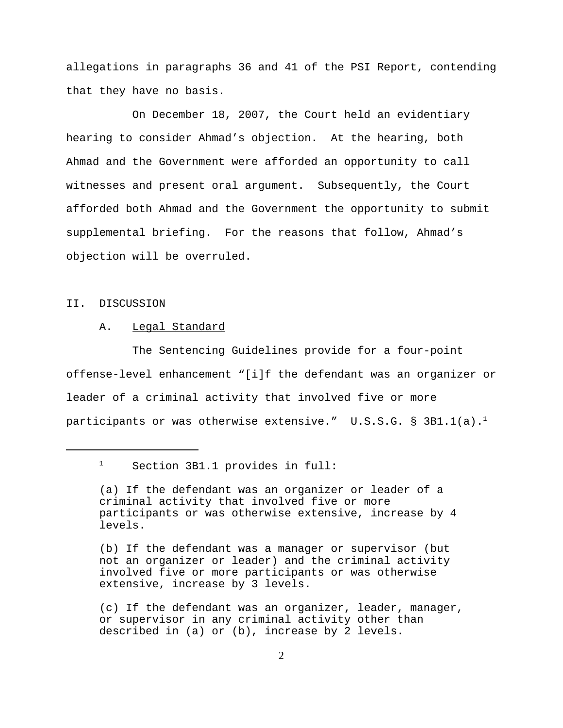allegations in paragraphs 36 and 41 of the PSI Report, contending that they have no basis.

On December 18, 2007, the Court held an evidentiary hearing to consider Ahmad's objection. At the hearing, both Ahmad and the Government were afforded an opportunity to call witnesses and present oral argument. Subsequently, the Court afforded both Ahmad and the Government the opportunity to submit supplemental briefing. For the reasons that follow, Ahmad's objection will be overruled.

### II. DISCUSSION

#### A. Legal Standard

The Sentencing Guidelines provide for a four-point offense-level enhancement "[i]f the defendant was an organizer or leader of a criminal activity that involved five or more participants or was otherwise extensive."  $U.S.S.G. \$ § 3B1.1(a).<sup>1</sup>

<sup>&</sup>lt;sup>1</sup> Section 3B1.1 provides in full:

<sup>(</sup>a) If the defendant was an organizer or leader of a criminal activity that involved five or more participants or was otherwise extensive, increase by 4 levels.

<sup>(</sup>b) If the defendant was a manager or supervisor (but not an organizer or leader) and the criminal activity involved five or more participants or was otherwise extensive, increase by 3 levels.

<sup>(</sup>c) If the defendant was an organizer, leader, manager, or supervisor in any criminal activity other than described in (a) or (b), increase by 2 levels.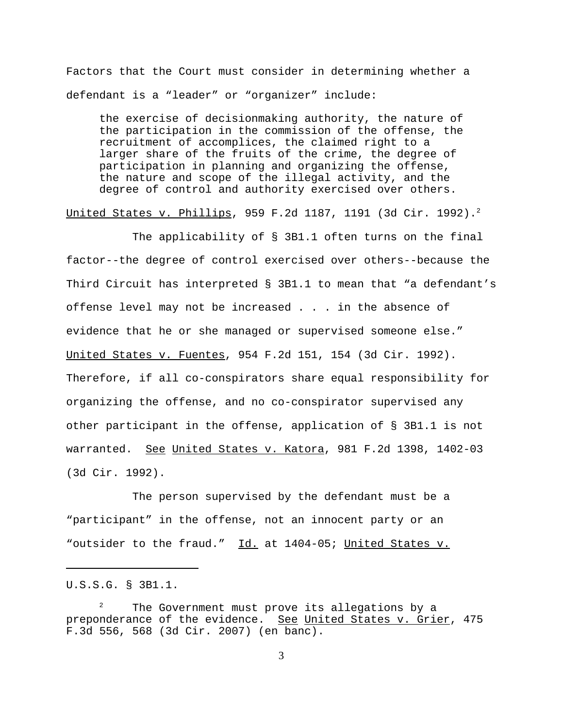Factors that the Court must consider in determining whether a defendant is a "leader" or "organizer" include:

the exercise of decisionmaking authority, the nature of the participation in the commission of the offense, the recruitment of accomplices, the claimed right to a larger share of the fruits of the crime, the degree of participation in planning and organizing the offense, the nature and scope of the illegal activity, and the degree of control and authority exercised over others.

United States v. Phillips, 959 F.2d 1187, 1191 (3d Cir. 1992).<sup>2</sup>

The applicability of § 3B1.1 often turns on the final factor--the degree of control exercised over others--because the Third Circuit has interpreted § 3B1.1 to mean that "a defendant's offense level may not be increased . . . in the absence of evidence that he or she managed or supervised someone else." United States v. Fuentes, 954 F.2d 151, 154 (3d Cir. 1992). Therefore, if all co-conspirators share equal responsibility for organizing the offense, and no co-conspirator supervised any other participant in the offense, application of § 3B1.1 is not warranted. See United States v. Katora, 981 F.2d 1398, 1402-03 (3d Cir. 1992).

The person supervised by the defendant must be a "participant" in the offense, not an innocent party or an "outsider to the fraud." Id. at 1404-05; United States v.

U.S.S.G. § 3B1.1.

 $2^2$  The Government must prove its allegations by a preponderance of the evidence. See United States v. Grier, 475 F.3d 556, 568 (3d Cir. 2007) (en banc).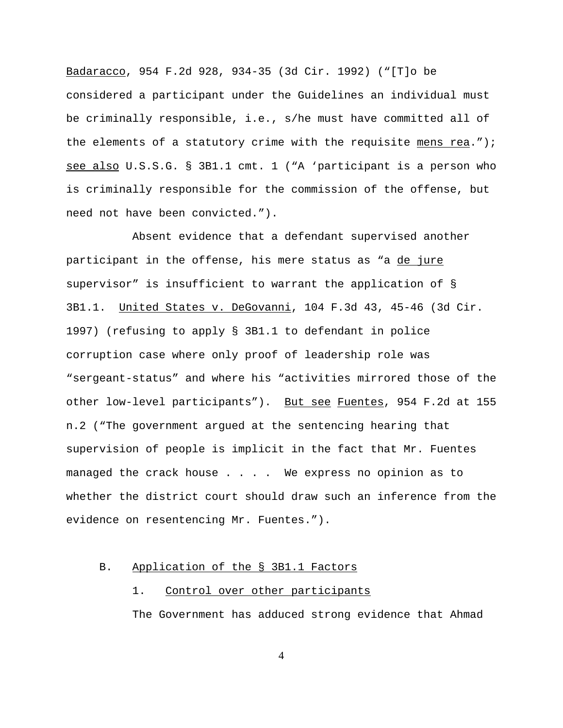Badaracco, 954 F.2d 928, 934-35 (3d Cir. 1992) ("[T]o be considered a participant under the Guidelines an individual must be criminally responsible, i.e., s/he must have committed all of the elements of a statutory crime with the requisite mens rea."); see also U.S.S.G. § 3B1.1 cmt. 1 ("A 'participant is a person who is criminally responsible for the commission of the offense, but need not have been convicted.").

Absent evidence that a defendant supervised another participant in the offense, his mere status as "a de jure supervisor" is insufficient to warrant the application of § 3B1.1. United States v. DeGovanni, 104 F.3d 43, 45-46 (3d Cir. 1997) (refusing to apply § 3B1.1 to defendant in police corruption case where only proof of leadership role was "sergeant-status" and where his "activities mirrored those of the other low-level participants"). But see Fuentes, 954 F.2d at 155 n.2 ("The government argued at the sentencing hearing that supervision of people is implicit in the fact that Mr. Fuentes managed the crack house . . . . We express no opinion as to whether the district court should draw such an inference from the evidence on resentencing Mr. Fuentes.").

#### B. Application of the § 3B1.1 Factors

# 1. Control over other participants

The Government has adduced strong evidence that Ahmad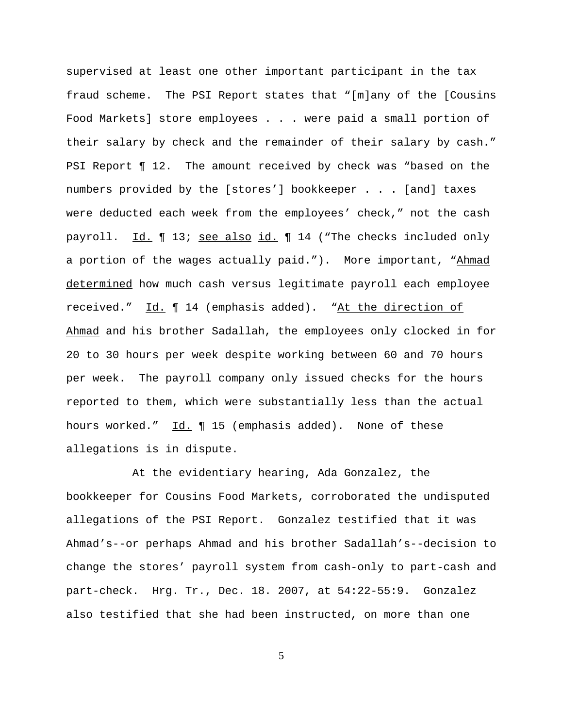supervised at least one other important participant in the tax fraud scheme. The PSI Report states that "[m]any of the [Cousins Food Markets] store employees . . . were paid a small portion of their salary by check and the remainder of their salary by cash." PSI Report ¶ 12. The amount received by check was "based on the numbers provided by the [stores'] bookkeeper . . . [and] taxes were deducted each week from the employees' check," not the cash payroll. Id. 13; see also id. 14 ("The checks included only a portion of the wages actually paid."). More important, "Ahmad determined how much cash versus legitimate payroll each employee received." Id. ¶ 14 (emphasis added). "At the direction of Ahmad and his brother Sadallah, the employees only clocked in for 20 to 30 hours per week despite working between 60 and 70 hours per week. The payroll company only issued checks for the hours reported to them, which were substantially less than the actual hours worked." Id. ¶ 15 (emphasis added). None of these allegations is in dispute.

At the evidentiary hearing, Ada Gonzalez, the bookkeeper for Cousins Food Markets, corroborated the undisputed allegations of the PSI Report. Gonzalez testified that it was Ahmad's--or perhaps Ahmad and his brother Sadallah's--decision to change the stores' payroll system from cash-only to part-cash and part-check. Hrg. Tr., Dec. 18. 2007, at 54:22-55:9. Gonzalez also testified that she had been instructed, on more than one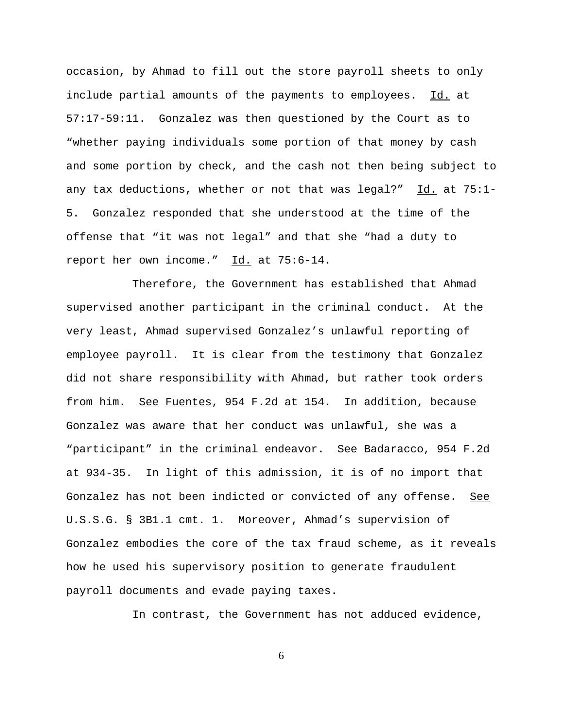occasion, by Ahmad to fill out the store payroll sheets to only include partial amounts of the payments to employees. Id. at 57:17-59:11. Gonzalez was then questioned by the Court as to "whether paying individuals some portion of that money by cash and some portion by check, and the cash not then being subject to any tax deductions, whether or not that was legal?"  $Id.$  at 75:1-5. Gonzalez responded that she understood at the time of the offense that "it was not legal" and that she "had a duty to report her own income." Id. at 75:6-14.

Therefore, the Government has established that Ahmad supervised another participant in the criminal conduct. At the very least, Ahmad supervised Gonzalez's unlawful reporting of employee payroll. It is clear from the testimony that Gonzalez did not share responsibility with Ahmad, but rather took orders from him. See Fuentes, 954 F.2d at 154. In addition, because Gonzalez was aware that her conduct was unlawful, she was a "participant" in the criminal endeavor. See Badaracco, 954 F.2d at 934-35. In light of this admission, it is of no import that Gonzalez has not been indicted or convicted of any offense. See U.S.S.G. § 3B1.1 cmt. 1. Moreover, Ahmad's supervision of Gonzalez embodies the core of the tax fraud scheme, as it reveals how he used his supervisory position to generate fraudulent payroll documents and evade paying taxes.

In contrast, the Government has not adduced evidence,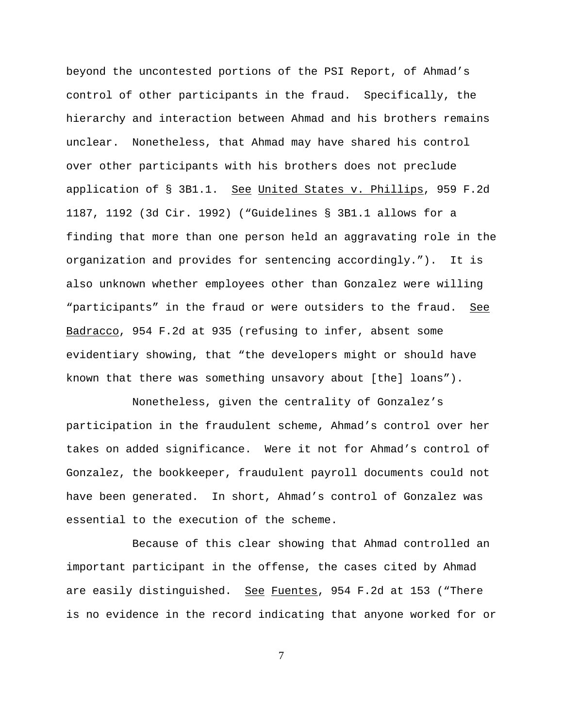beyond the uncontested portions of the PSI Report, of Ahmad's control of other participants in the fraud. Specifically, the hierarchy and interaction between Ahmad and his brothers remains unclear. Nonetheless, that Ahmad may have shared his control over other participants with his brothers does not preclude application of § 3B1.1. See United States v. Phillips, 959 F.2d 1187, 1192 (3d Cir. 1992) ("Guidelines § 3B1.1 allows for a finding that more than one person held an aggravating role in the organization and provides for sentencing accordingly."). It is also unknown whether employees other than Gonzalez were willing "participants" in the fraud or were outsiders to the fraud. See Badracco, 954 F.2d at 935 (refusing to infer, absent some evidentiary showing, that "the developers might or should have known that there was something unsavory about [the] loans").

Nonetheless, given the centrality of Gonzalez's participation in the fraudulent scheme, Ahmad's control over her takes on added significance. Were it not for Ahmad's control of Gonzalez, the bookkeeper, fraudulent payroll documents could not have been generated. In short, Ahmad's control of Gonzalez was essential to the execution of the scheme.

Because of this clear showing that Ahmad controlled an important participant in the offense, the cases cited by Ahmad are easily distinguished. See Fuentes, 954 F.2d at 153 ("There is no evidence in the record indicating that anyone worked for or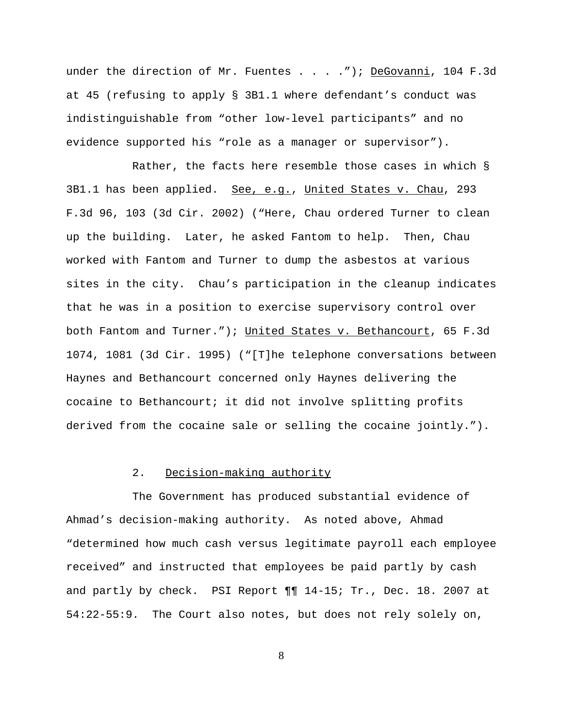under the direction of Mr. Fuentes . . . . "); DeGovanni, 104 F.3d at 45 (refusing to apply § 3B1.1 where defendant's conduct was indistinguishable from "other low-level participants" and no evidence supported his "role as a manager or supervisor").

Rather, the facts here resemble those cases in which § 3B1.1 has been applied. See, e.g., United States v. Chau, 293 F.3d 96, 103 (3d Cir. 2002) ("Here, Chau ordered Turner to clean up the building. Later, he asked Fantom to help. Then, Chau worked with Fantom and Turner to dump the asbestos at various sites in the city. Chau's participation in the cleanup indicates that he was in a position to exercise supervisory control over both Fantom and Turner."); United States v. Bethancourt, 65 F.3d 1074, 1081 (3d Cir. 1995) ("[T]he telephone conversations between Haynes and Bethancourt concerned only Haynes delivering the cocaine to Bethancourt; it did not involve splitting profits derived from the cocaine sale or selling the cocaine jointly.").

#### 2. Decision-making authority

The Government has produced substantial evidence of Ahmad's decision-making authority. As noted above, Ahmad "determined how much cash versus legitimate payroll each employee received" and instructed that employees be paid partly by cash and partly by check. PSI Report  $\P\P$  14-15; Tr., Dec. 18. 2007 at 54:22-55:9. The Court also notes, but does not rely solely on,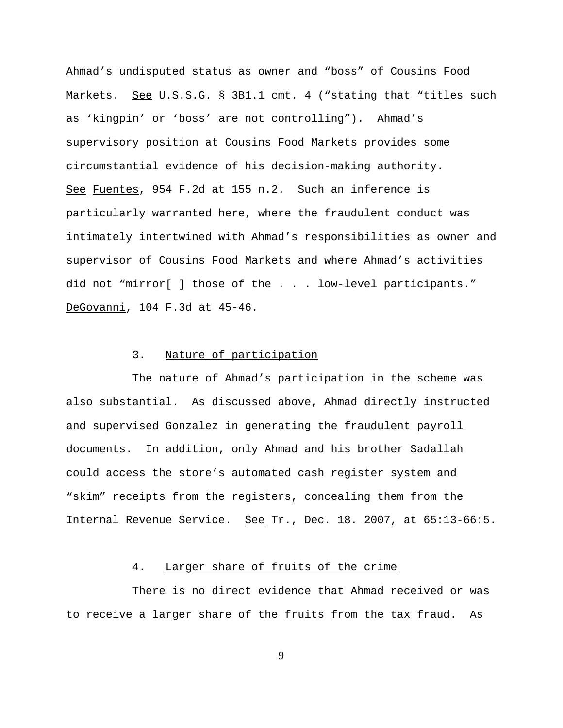Ahmad's undisputed status as owner and "boss" of Cousins Food Markets. See U.S.S.G. § 3B1.1 cmt. 4 ("stating that "titles such as 'kingpin' or 'boss' are not controlling"). Ahmad's supervisory position at Cousins Food Markets provides some circumstantial evidence of his decision-making authority. See Fuentes, 954 F.2d at 155 n.2. Such an inference is particularly warranted here, where the fraudulent conduct was intimately intertwined with Ahmad's responsibilities as owner and supervisor of Cousins Food Markets and where Ahmad's activities did not "mirror[ ] those of the . . . low-level participants." DeGovanni, 104 F.3d at 45-46.

## 3. Nature of participation

The nature of Ahmad's participation in the scheme was also substantial. As discussed above, Ahmad directly instructed and supervised Gonzalez in generating the fraudulent payroll documents. In addition, only Ahmad and his brother Sadallah could access the store's automated cash register system and "skim" receipts from the registers, concealing them from the Internal Revenue Service. See Tr., Dec. 18. 2007, at 65:13-66:5.

## 4. Larger share of fruits of the crime

There is no direct evidence that Ahmad received or was to receive a larger share of the fruits from the tax fraud. As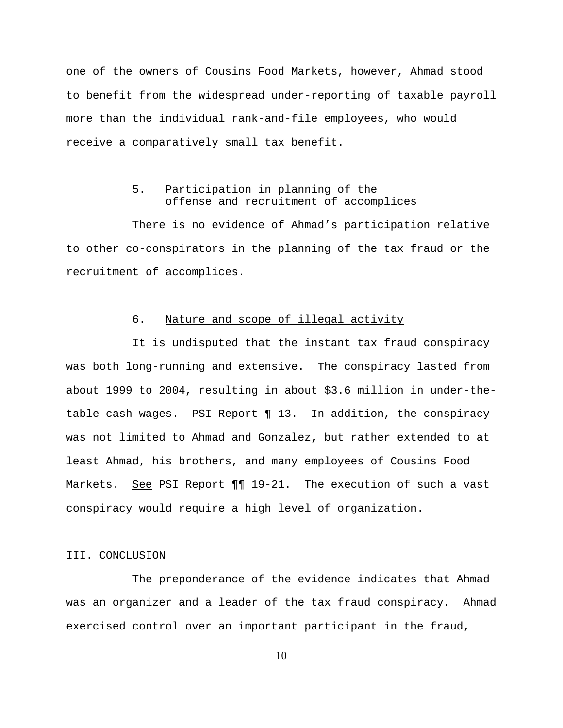one of the owners of Cousins Food Markets, however, Ahmad stood to benefit from the widespread under-reporting of taxable payroll more than the individual rank-and-file employees, who would receive a comparatively small tax benefit.

# 5. Participation in planning of the offense and recruitment of accomplices

There is no evidence of Ahmad's participation relative to other co-conspirators in the planning of the tax fraud or the recruitment of accomplices.

## 6. Nature and scope of illegal activity

It is undisputed that the instant tax fraud conspiracy was both long-running and extensive. The conspiracy lasted from about 1999 to 2004, resulting in about \$3.6 million in under-thetable cash wages. PSI Report ¶ 13. In addition, the conspiracy was not limited to Ahmad and Gonzalez, but rather extended to at least Ahmad, his brothers, and many employees of Cousins Food Markets. See PSI Report 11 19-21. The execution of such a vast conspiracy would require a high level of organization.

#### III. CONCLUSION

The preponderance of the evidence indicates that Ahmad was an organizer and a leader of the tax fraud conspiracy. Ahmad exercised control over an important participant in the fraud,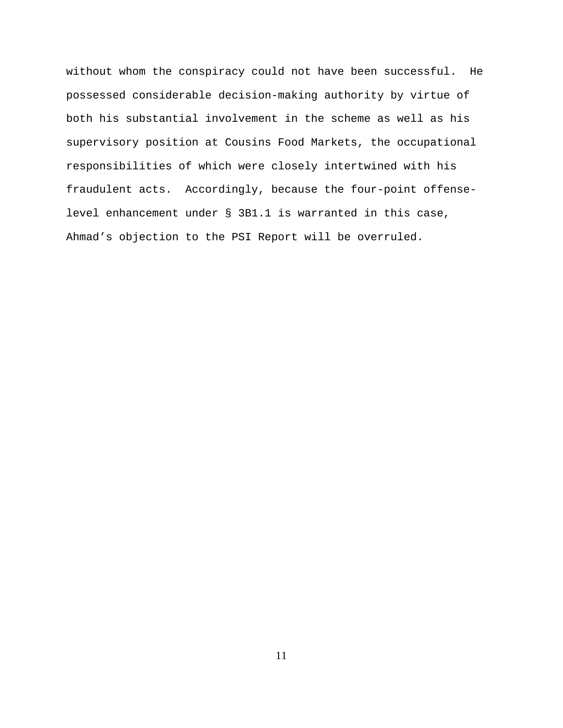without whom the conspiracy could not have been successful. He possessed considerable decision-making authority by virtue of both his substantial involvement in the scheme as well as his supervisory position at Cousins Food Markets, the occupational responsibilities of which were closely intertwined with his fraudulent acts. Accordingly, because the four-point offenselevel enhancement under § 3B1.1 is warranted in this case, Ahmad's objection to the PSI Report will be overruled.